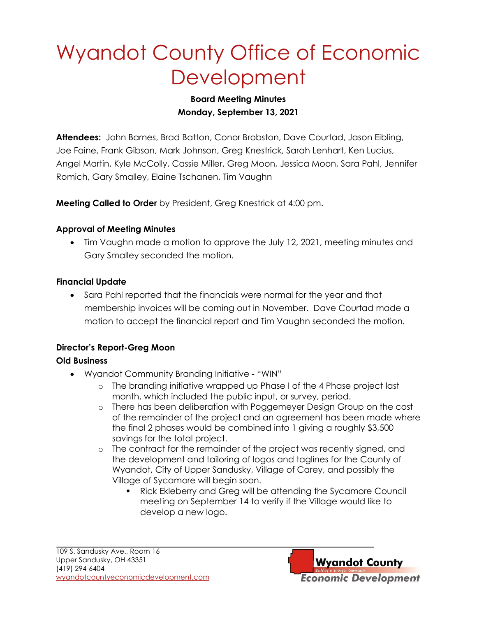# Wyandot County Office of Economic **Development**

## **Board Meeting Minutes Monday, September 13, 2021**

**Attendees:** John Barnes, Brad Batton, Conor Brobston, Dave Courtad, Jason Eibling, Joe Faine, Frank Gibson, Mark Johnson, Greg Knestrick, Sarah Lenhart, Ken Lucius, Angel Martin, Kyle McColly, Cassie Miller, Greg Moon, Jessica Moon, Sara Pahl, Jennifer Romich, Gary Smalley, Elaine Tschanen, Tim Vaughn

**Meeting Called to Order** by President, Greg Knestrick at 4:00 pm.

### **Approval of Meeting Minutes**

• Tim Vaughn made a motion to approve the July 12, 2021, meeting minutes and Gary Smalley seconded the motion.

### **Financial Update**

• Sara Pahl reported that the financials were normal for the year and that membership invoices will be coming out in November. Dave Courtad made a motion to accept the financial report and Tim Vaughn seconded the motion.

# **Director's Report-Greg Moon**

## **Old Business**

- Wyandot Community Branding Initiative "WIN"
	- o The branding initiative wrapped up Phase I of the 4 Phase project last month, which included the public input, or survey, period.
	- o There has been deliberation with Poggemeyer Design Group on the cost of the remainder of the project and an agreement has been made where the final 2 phases would be combined into 1 giving a roughly \$3,500 savings for the total project.
	- o The contract for the remainder of the project was recently signed, and the development and tailoring of logos and taglines for the County of Wyandot, City of Upper Sandusky, Village of Carey, and possibly the Village of Sycamore will begin soon.
		- Rick Ekleberry and Greg will be attending the Sycamore Council meeting on September 14 to verify if the Village would like to develop a new logo.

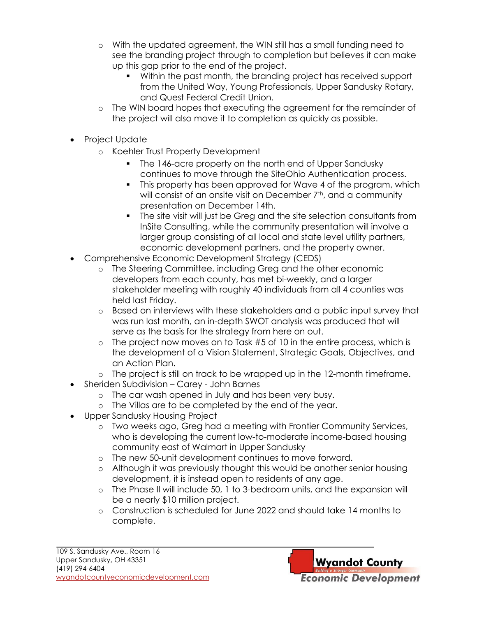- o With the updated agreement, the WIN still has a small funding need to see the branding project through to completion but believes it can make up this gap prior to the end of the project.
	- Within the past month, the branding project has received support from the United Way, Young Professionals, Upper Sandusky Rotary, and Quest Federal Credit Union.
- o The WIN board hopes that executing the agreement for the remainder of the project will also move it to completion as quickly as possible.
- Project Update
	- o Koehler Trust Property Development
		- The 146-acre property on the north end of Upper Sandusky continues to move through the SiteOhio Authentication process.
		- This property has been approved for Wave 4 of the program, which will consist of an onsite visit on December 7<sup>th</sup>, and a community presentation on December 14th.
		- The site visit will just be Greg and the site selection consultants from InSite Consulting, while the community presentation will involve a larger group consisting of all local and state level utility partners, economic development partners, and the property owner.
- Comprehensive Economic Development Strategy (CEDS)
	- o The Steering Committee, including Greg and the other economic developers from each county, has met bi-weekly, and a larger stakeholder meeting with roughly 40 individuals from all 4 counties was held last Friday.
	- o Based on interviews with these stakeholders and a public input survey that was run last month, an in-depth SWOT analysis was produced that will serve as the basis for the strategy from here on out.
	- $\circ$  The project now moves on to Task #5 of 10 in the entire process, which is the development of a Vision Statement, Strategic Goals, Objectives, and an Action Plan.
	- o The project is still on track to be wrapped up in the 12-month timeframe.
- Sheriden Subdivision Carey John Barnes
	- o The car wash opened in July and has been very busy.
	- o The Villas are to be completed by the end of the year.
- Upper Sandusky Housing Project
	- o Two weeks ago, Greg had a meeting with Frontier Community Services, who is developing the current low-to-moderate income-based housing community east of Walmart in Upper Sandusky
	- o The new 50-unit development continues to move forward.
	- o Although it was previously thought this would be another senior housing development, it is instead open to residents of any age.
	- o The Phase II will include 50, 1 to 3-bedroom units, and the expansion will be a nearly \$10 million project.
	- o Construction is scheduled for June 2022 and should take 14 months to complete.

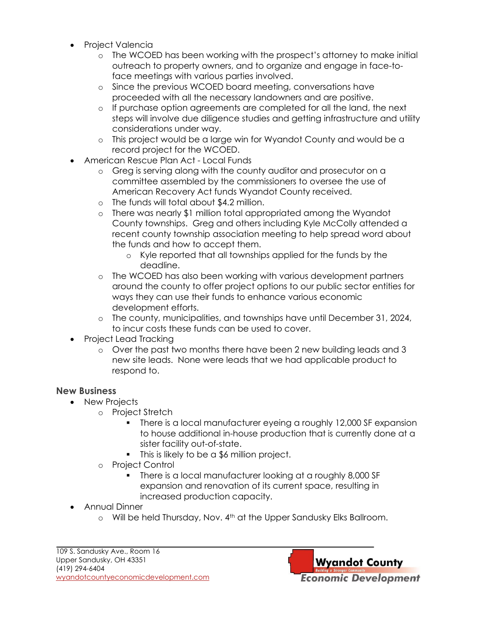- Project Valencia
	- o The WCOED has been working with the prospect's attorney to make initial outreach to property owners, and to organize and engage in face-toface meetings with various parties involved.
	- o Since the previous WCOED board meeting, conversations have proceeded with all the necessary landowners and are positive.
	- o If purchase option agreements are completed for all the land, the next steps will involve due diligence studies and getting infrastructure and utility considerations under way.
	- o This project would be a large win for Wyandot County and would be a record project for the WCOED.
- American Rescue Plan Act Local Funds
	- o Greg is serving along with the county auditor and prosecutor on a committee assembled by the commissioners to oversee the use of American Recovery Act funds Wyandot County received.
	- o The funds will total about \$4.2 million.
	- o There was nearly \$1 million total appropriated among the Wyandot County townships. Greg and others including Kyle McColly attended a recent county township association meeting to help spread word about the funds and how to accept them.
		- o Kyle reported that all townships applied for the funds by the deadline.
	- o The WCOED has also been working with various development partners around the county to offer project options to our public sector entities for ways they can use their funds to enhance various economic development efforts.
	- o The county, municipalities, and townships have until December 31, 2024, to incur costs these funds can be used to cover.
- Project Lead Tracking
	- o Over the past two months there have been 2 new building leads and 3 new site leads. None were leads that we had applicable product to respond to.

# **New Business**

- New Projects
	- o Project Stretch
		- There is a local manufacturer eyeing a roughly 12,000 SF expansion to house additional in-house production that is currently done at a sister facility out-of-state.
		- This is likely to be a \$6 million project.
	- o Project Control
		- There is a local manufacturer looking at a roughly 8,000 SF expansion and renovation of its current space, resulting in increased production capacity.
- Annual Dinner
	- $\circ$  Will be held Thursday, Nov. 4<sup>th</sup> at the Upper Sandusky Elks Ballroom.